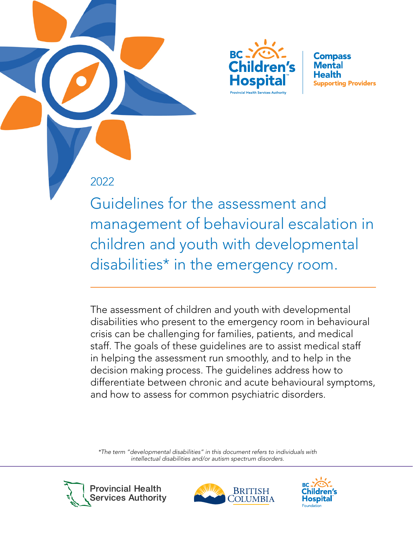

**Compass** Mental Health **Supporting Providers** 

## 2022

Guidelines for the assessment and management of behavioural escalation in children and youth with developmental disabilities\* in the emergency room.

The assessment of children and youth with developmental disabilities who present to the emergency room in behavioural crisis can be challenging for families, patients, and medical staff. The goals of these guidelines are to assist medical staff in helping the assessment run smoothly, and to help in the decision making process. The guidelines address how to differentiate between chronic and acute behavioural symptoms, and how to assess for common psychiatric disorders.

*\*The term "developmental disabilities" in this document refers to individuals with intellectual disabilities and/or autism spectrum disorders.*





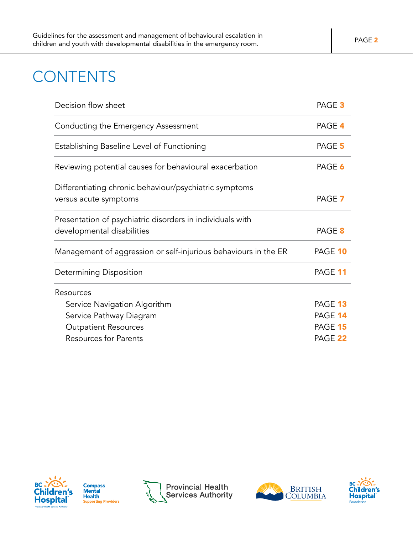## **CONTENTS**

| Decision flow sheet                                                                     | PAGE <sub>3</sub> |
|-----------------------------------------------------------------------------------------|-------------------|
| Conducting the Emergency Assessment                                                     | PAGE 4            |
| Establishing Baseline Level of Functioning                                              | PAGE 5            |
| Reviewing potential causes for behavioural exacerbation                                 | PAGE 6            |
| Differentiating chronic behaviour/psychiatric symptoms<br>versus acute symptoms         | PAGE 7            |
| Presentation of psychiatric disorders in individuals with<br>developmental disabilities | PAGE 8            |
| Management of aggression or self-injurious behaviours in the ER                         | PAGE 10           |
| <b>Determining Disposition</b>                                                          | PAGE 11           |
| Resources                                                                               |                   |
| Service Navigation Algorithm                                                            | PAGE 13           |
| Service Pathway Diagram                                                                 | PAGE 14           |
| <b>Outpatient Resources</b>                                                             | PAGE 15           |
| <b>Resources for Parents</b>                                                            | PAGE 22           |



**Compass<br>Mental Health Supporting Providers** 





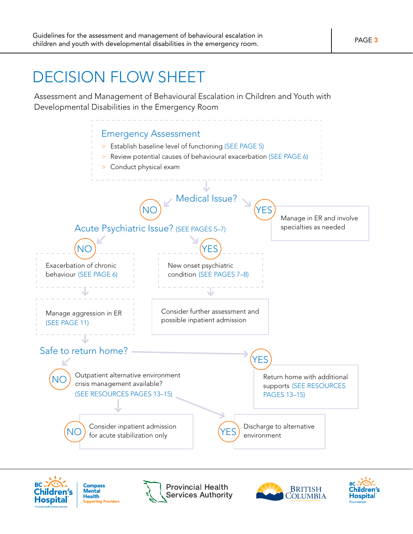## <span id="page-2-0"></span>DECISION FLOW SHEET

Assessment and Management of Behavioural Escalation in Children and Youth with Developmental Disabilities in the Emergency Room





**Compass**<br>Mental **Health under**<br>rting Providers **Provincial Health Services Authority** 



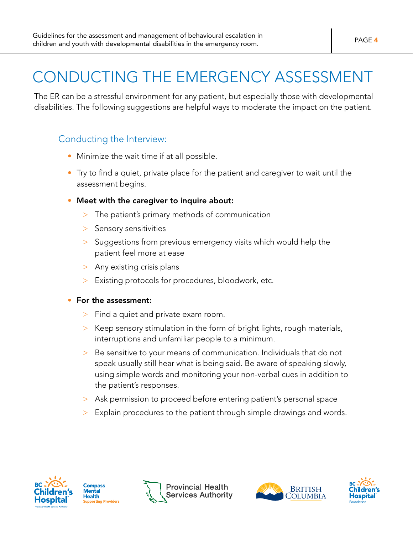# <span id="page-3-0"></span>CONDUCTING THE EMERGENCY ASSESSMENT

The ER can be a stressful environment for any patient, but especially those with developmental disabilities. The following suggestions are helpful ways to moderate the impact on the patient.

### Conducting the Interview:

- Minimize the wait time if at all possible.
- Try to find a quiet, private place for the patient and caregiver to wait until the assessment begins.
- Meet with the caregiver to inquire about:
	- > The patient's primary methods of communication
	- > Sensory sensitivities
	- > Suggestions from previous emergency visits which would help the patient feel more at ease
	- > Any existing crisis plans
	- > Existing protocols for procedures, bloodwork, etc.

#### • For the assessment:

- > Find a quiet and private exam room.
- > Keep sensory stimulation in the form of bright lights, rough materials, interruptions and unfamiliar people to a minimum.
- > Be sensitive to your means of communication. Individuals that do not speak usually still hear what is being said. Be aware of speaking slowly, using simple words and monitoring your non-verbal cues in addition to the patient's responses.
- > Ask permission to proceed before entering patient's personal space
- > Explain procedures to the patient through simple drawings and words.



**Compass** Mental **Health** tina Providers





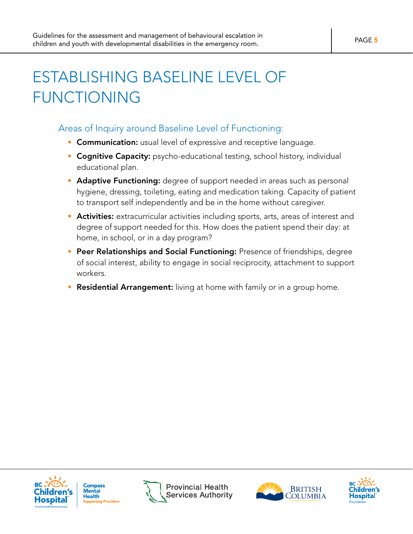# <span id="page-4-0"></span>ESTABLISHING BASELINE LEVEL OF FUNCTIONING

### Areas of Inquiry around Baseline Level of Functioning:

- Communication: usual level of expressive and receptive language.
- Cognitive Capacity: psycho-educational testing, school history, individual educational plan.
- Adaptive Functioning: degree of support needed in areas such as personal hygiene, dressing, toileting, eating and medication taking. Capacity of patient to transport self independently and be in the home without caregiver.
- **Activities:** extracurricular activities including sports, arts, areas of interest and degree of support needed for this. How does the patient spend their day: at home, in school, or in a day program?
- Peer Relationships and Social Functioning: Presence of friendships, degree of social interest, ability to engage in social reciprocity, attachment to support workers.
- Residential Arrangement: living at home with family or in a group home.







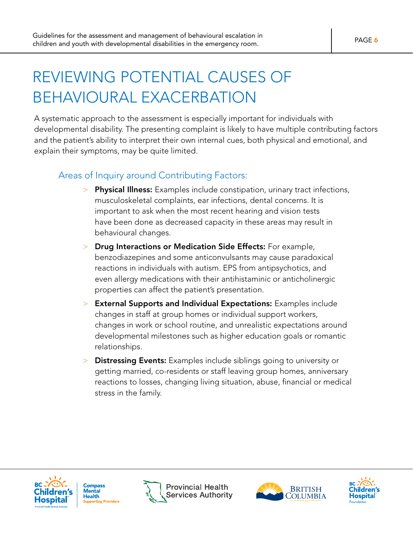# <span id="page-5-0"></span>REVIEWING POTENTIAL CAUSES OF BEHAVIOURAL EXACERBATION

A systematic approach to the assessment is especially important for individuals with developmental disability. The presenting complaint is likely to have multiple contributing factors and the patient's ability to interpret their own internal cues, both physical and emotional, and explain their symptoms, may be quite limited.

#### Areas of Inquiry around Contributing Factors:

- > Physical Illness: Examples include constipation, urinary tract infections, musculoskeletal complaints, ear infections, dental concerns. It is important to ask when the most recent hearing and vision tests have been done as decreased capacity in these areas may result in behavioural changes.
- > Drug Interactions or Medication Side Effects: For example, benzodiazepines and some anticonvulsants may cause paradoxical reactions in individuals with autism. EPS from antipsychotics, and even allergy medications with their antihistaminic or anticholinergic properties can affect the patient's presentation.
- > External Supports and Individual Expectations: Examples include changes in staff at group homes or individual support workers, changes in work or school routine, and unrealistic expectations around developmental milestones such as higher education goals or romantic relationships.
- > Distressing Events: Examples include siblings going to university or getting married, co-residents or staff leaving group homes, anniversary reactions to losses, changing living situation, abuse, financial or medical stress in the family.







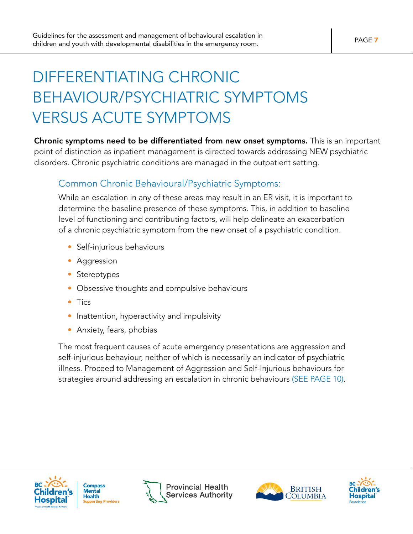# <span id="page-6-0"></span>DIFFERENTIATING CHRONIC BEHAVIOUR/PSYCHIATRIC SYMPTOMS VERSUS ACUTE SYMPTOMS

Chronic symptoms need to be differentiated from new onset symptoms. This is an important point of distinction as inpatient management is directed towards addressing NEW psychiatric disorders. Chronic psychiatric conditions are managed in the outpatient setting.

#### Common Chronic Behavioural/Psychiatric Symptoms:

While an escalation in any of these areas may result in an ER visit, it is important to determine the baseline presence of these symptoms. This, in addition to baseline level of functioning and contributing factors, will help delineate an exacerbation of a chronic psychiatric symptom from the new onset of a psychiatric condition.

- Self-injurious behaviours
- Aggression
- Stereotypes
- Obsessive thoughts and compulsive behaviours
- Tics
- Inattention, hyperactivity and impulsivity
- Anxiety, fears, phobias

The most frequent causes of acute emergency presentations are aggression and self-injurious behaviour, neither of which is necessarily an indicator of psychiatric illness. Proceed to Management of Aggression and Self-Injurious behaviours for strategies around addressing an escalation in chronic behaviours (SEE PAGE 10).







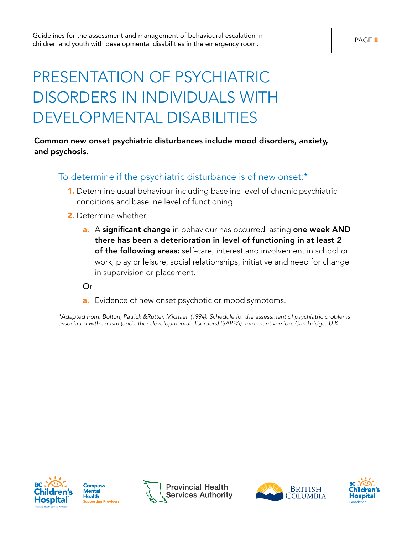# <span id="page-7-0"></span>PRESENTATION OF PSYCHIATRIC DISORDERS IN INDIVIDUALS WITH DEVELOPMENTAL DISABILITIES

#### Common new onset psychiatric disturbances include mood disorders, anxiety, and psychosis.

#### To determine if the psychiatric disturbance is of new onset:\*

- 1. Determine usual behaviour including baseline level of chronic psychiatric conditions and baseline level of functioning.
- 2. Determine whether:
	- a. A significant change in behaviour has occurred lasting one week AND there has been a deterioration in level of functioning in at least 2 of the following areas: self-care, interest and involvement in school or work, play or leisure, social relationships, initiative and need for change in supervision or placement.

Or

a. Evidence of new onset psychotic or mood symptoms.

*\*Adapted from: Bolton, Patrick &Rutter, Michael. (1994). Schedule for the assessment of psychiatric problems associated with autism (and other developmental disorders) (SAPPA): Informant version. Cambridge, U.K.*







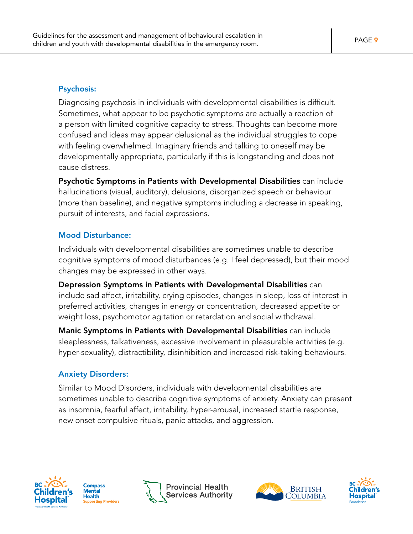#### Psychosis:

Diagnosing psychosis in individuals with developmental disabilities is difficult. Sometimes, what appear to be psychotic symptoms are actually a reaction of a person with limited cognitive capacity to stress. Thoughts can become more confused and ideas may appear delusional as the individual struggles to cope with feeling overwhelmed. Imaginary friends and talking to oneself may be developmentally appropriate, particularly if this is longstanding and does not cause distress.

Psychotic Symptoms in Patients with Developmental Disabilities can include hallucinations (visual, auditory), delusions, disorganized speech or behaviour (more than baseline), and negative symptoms including a decrease in speaking, pursuit of interests, and facial expressions.

#### Mood Disturbance:

Individuals with developmental disabilities are sometimes unable to describe cognitive symptoms of mood disturbances (e.g. I feel depressed), but their mood changes may be expressed in other ways.

Depression Symptoms in Patients with Developmental Disabilities can include sad affect, irritability, crying episodes, changes in sleep, loss of interest in preferred activities, changes in energy or concentration, decreased appetite or weight loss, psychomotor agitation or retardation and social withdrawal.

Manic Symptoms in Patients with Developmental Disabilities can include sleeplessness, talkativeness, excessive involvement in pleasurable activities (e.g. hyper-sexuality), distractibility, disinhibition and increased risk-taking behaviours.

#### Anxiety Disorders:

Similar to Mood Disorders, individuals with developmental disabilities are sometimes unable to describe cognitive symptoms of anxiety. Anxiety can present as insomnia, fearful affect, irritability, hyper-arousal, increased startle response, new onset compulsive rituals, panic attacks, and aggression.









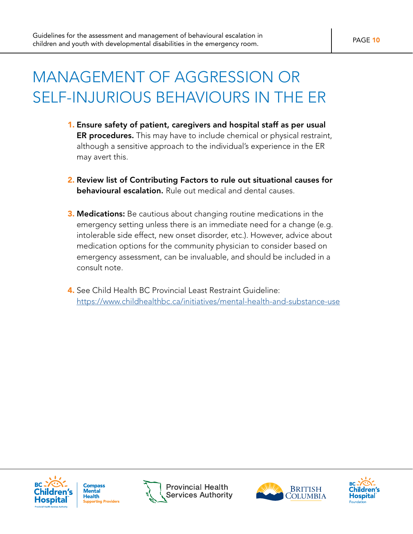## <span id="page-9-0"></span>MANAGEMENT OF AGGRESSION OR SELF-INJURIOUS BEHAVIOURS IN THE ER

- 1. Ensure safety of patient, caregivers and hospital staff as per usual ER procedures. This may have to include chemical or physical restraint, although a sensitive approach to the individual's experience in the ER may avert this.
- 2. Review list of Contributing Factors to rule out situational causes for **behavioural escalation.** Rule out medical and dental causes.
- **3. Medications:** Be cautious about changing routine medications in the emergency setting unless there is an immediate need for a change (e.g. intolerable side effect, new onset disorder, etc.). However, advice about medication options for the community physician to consider based on emergency assessment, can be invaluable, and should be included in a consult note.
- 4. See Child Health BC Provincial Least Restraint Guideline: <https://www.childhealthbc.ca/initiatives/mental-health-and-substance-use>







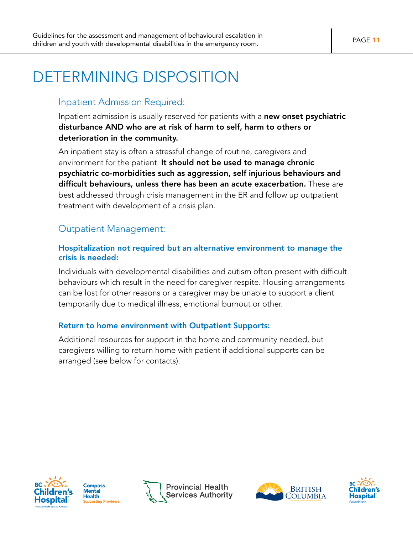## <span id="page-10-0"></span>DETERMINING DISPOSITION

#### Inpatient Admission Required:

Inpatient admission is usually reserved for patients with a new onset psychiatric disturbance AND who are at risk of harm to self, harm to others or deterioration in the community.

An inpatient stay is often a stressful change of routine, caregivers and environment for the patient. It should not be used to manage chronic psychiatric co-morbidities such as aggression, self injurious behaviours and difficult behaviours, unless there has been an acute exacerbation. These are best addressed through crisis management in the ER and follow up outpatient treatment with development of a crisis plan.

#### Outpatient Management:

#### Hospitalization not required but an alternative environment to manage the crisis is needed:

Individuals with developmental disabilities and autism often present with difficult behaviours which result in the need for caregiver respite. Housing arrangements can be lost for other reasons or a caregiver may be unable to support a client temporarily due to medical illness, emotional burnout or other.

#### Return to home environment with Outpatient Supports:

Additional resources for support in the home and community needed, but caregivers willing to return home with patient if additional supports can be arranged (see below for contacts).



**Compass** Mental Health **under**<br>rting Providers



**BRITISH** COLUMBIA

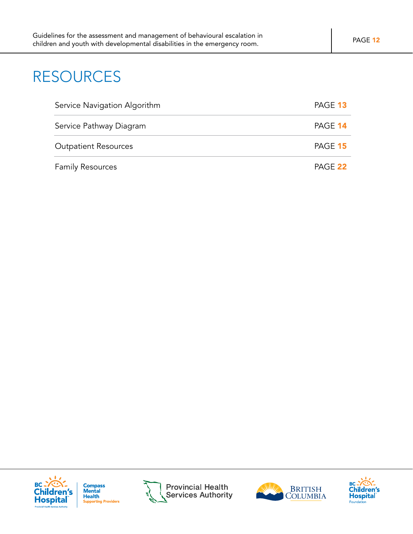## RESOURCES

| Service Navigation Algorithm | PAGE 13 |
|------------------------------|---------|
| Service Pathway Diagram      | PAGE 14 |
| <b>Outpatient Resources</b>  | PAGE 15 |
| <b>Family Resources</b>      | PAGE 22 |



**Compass<br>Mental Health Supporting Providers** 







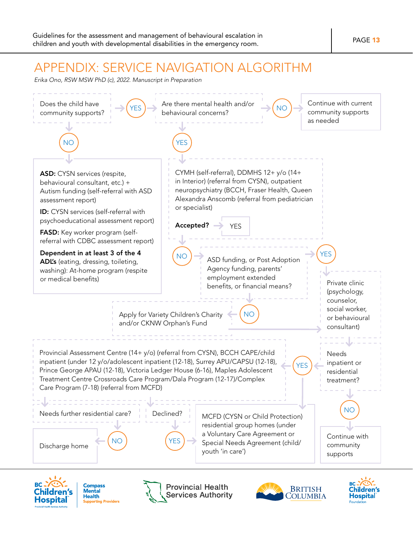## <span id="page-12-0"></span>APPENDIX: SERVICE NAVIGATION ALGORITHM

*Erika Ono, RSW MSW PhD (c), 2022. Manuscript in Preparation*





**Compass<br>Mental Health** ...<br>ting Providers





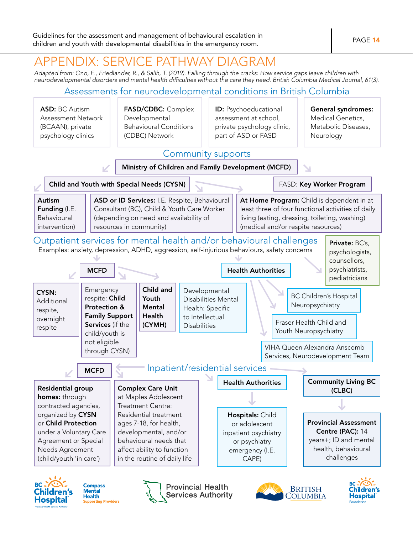## <span id="page-13-0"></span>APPENDIX: SERVICE PATHWAY DIAGRAM

*Adapted from: Ono, E., Friedlander, R., & Salih, T. (2019). Falling through the cracks: How service gaps leave children with neurodevelopmental disorders and mental health difficulties without the care they need. British Columbia Medical Journal, 61(3).*

### Assessments for neurodevelopmental conditions in British Columbia







**Provincial Health Services Authority** 



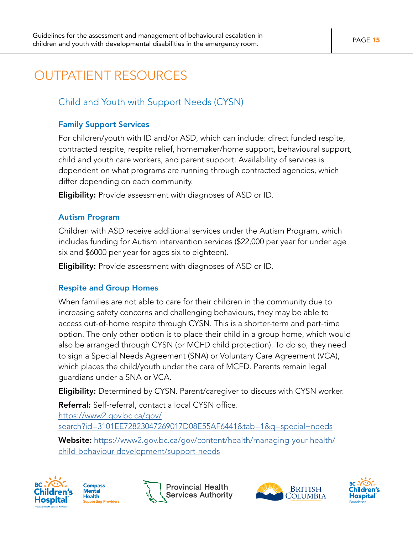## <span id="page-14-0"></span>OUTPATIENT RESOURCES

### Child and Youth with Support Needs (CYSN)

#### Family Support Services

For children/youth with ID and/or ASD, which can include: direct funded respite, contracted respite, respite relief, homemaker/home support, behavioural support, child and youth care workers, and parent support. Availability of services is dependent on what programs are running through contracted agencies, which differ depending on each community.

**Eligibility:** Provide assessment with diagnoses of ASD or ID.

#### Autism Program

Children with ASD receive additional services under the Autism Program, which includes funding for Autism intervention services (\$22,000 per year for under age six and \$6000 per year for ages six to eighteen).

**Eligibility:** Provide assessment with diagnoses of ASD or ID.

#### Respite and Group Homes

When families are not able to care for their children in the community due to increasing safety concerns and challenging behaviours, they may be able to access out-of-home respite through CYSN. This is a shorter-term and part-time option. The only other option is to place their child in a group home, which would also be arranged through CYSN (or MCFD child protection). To do so, they need to sign a Special Needs Agreement (SNA) or Voluntary Care Agreement (VCA), which places the child/youth under the care of MCFD. Parents remain legal guardians under a SNA or VCA.

**Eligibility:** Determined by CYSN. Parent/caregiver to discuss with CYSN worker.

Referral: Self-referral, contact a local CYSN office.

[https://www2.gov.bc.ca/gov/](https://www2.gov.bc.ca/gov/search?id=3101EE72823047269017D08E55AF6441&tab=1&q=special+needs
)

[search?id=3101EE72823047269017D08E55AF6441&tab=1&q=special+needs](https://www2.gov.bc.ca/gov/search?id=3101EE72823047269017D08E55AF6441&tab=1&q=special+needs
)

Website: [https://www2.gov.bc.ca/gov/content/health/managing-your-health/](https://www2.gov.bc.ca/gov/content/health/managing-your-health/child-behaviour-development/support-needs
) [child-behaviour-development/support-needs](https://www2.gov.bc.ca/gov/content/health/managing-your-health/child-behaviour-development/support-needs
)









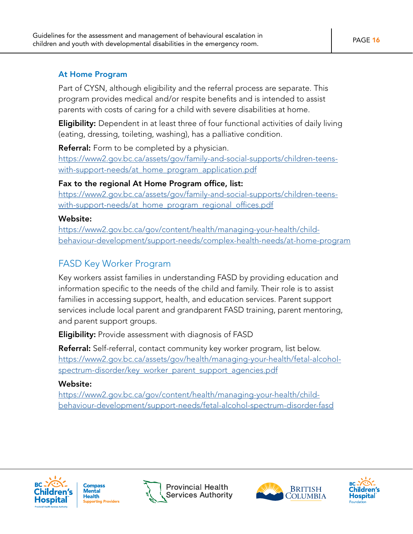#### At Home Program

Part of CYSN, although eligibility and the referral process are separate. This program provides medical and/or respite benefits and is intended to assist parents with costs of caring for a child with severe disabilities at home.

Eligibility: Dependent in at least three of four functional activities of daily living (eating, dressing, toileting, washing), has a palliative condition.

**Referral:** Form to be completed by a physician.

[https://www2.gov.bc.ca/assets/gov/family-and-social-supports/children-teens](https://www2.gov.bc.ca/assets/gov/family-and-social-supports/children-teens-with-support-needs/at_home_program_application.pdf)[with-support-needs/at\\_home\\_program\\_application.pdf](https://www2.gov.bc.ca/assets/gov/family-and-social-supports/children-teens-with-support-needs/at_home_program_application.pdf)

#### Fax to the regional At Home Program office, list:

[https://www2.gov.bc.ca/assets/gov/family-and-social-supports/children-teens](https://www2.gov.bc.ca/assets/gov/family-and-social-supports/children-teens-with-support-needs/at_home_program_regional_offices.pdf)[with-support-needs/at\\_home\\_program\\_regional\\_offices.pdf](https://www2.gov.bc.ca/assets/gov/family-and-social-supports/children-teens-with-support-needs/at_home_program_regional_offices.pdf)

#### Website:

[https://www2.gov.bc.ca/gov/content/health/managing-your-health/child](https://www2.gov.bc.ca/gov/content/health/managing-your-health/child-behaviour-development/support-needs/complex-health-needs/at-home-program)[behaviour-development/support-needs/complex-health-needs/at-home-program](https://www2.gov.bc.ca/gov/content/health/managing-your-health/child-behaviour-development/support-needs/complex-health-needs/at-home-program)

## FASD Key Worker Program

Key workers assist families in understanding FASD by providing education and information specific to the needs of the child and family. Their role is to assist families in accessing support, health, and education services. Parent support services include local parent and grandparent FASD training, parent mentoring, and parent support groups.

**Eligibility:** Provide assessment with diagnosis of FASD

Referral: Self-referral, contact community key worker program, list below. [https://www2.gov.bc.ca/assets/gov/health/managing-your-health/fetal-alcohol](https://www2.gov.bc.ca/assets/gov/health/managing-your-health/fetal-alcohol-spectrum-disorder/key_worker_parent_support_agencies.pdf)[spectrum-disorder/key\\_worker\\_parent\\_support\\_agencies.pdf](https://www2.gov.bc.ca/assets/gov/health/managing-your-health/fetal-alcohol-spectrum-disorder/key_worker_parent_support_agencies.pdf)

#### Website:

[https://www2.gov.bc.ca/gov/content/health/managing-your-health/child](https://www2.gov.bc.ca/gov/content/health/managing-your-health/child-behaviour-development/support-needs/fetal-alcohol-spectrum-disorder-fasd)[behaviour-development/support-needs/fetal-alcohol-spectrum-disorder-fasd](https://www2.gov.bc.ca/gov/content/health/managing-your-health/child-behaviour-development/support-needs/fetal-alcohol-spectrum-disorder-fasd)







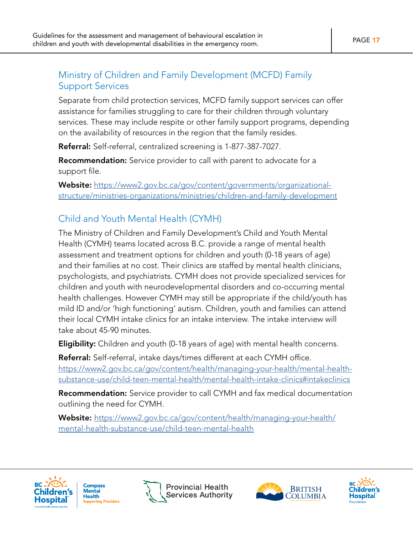### Ministry of Children and Family Development (MCFD) Family Support Services

Separate from child protection services, MCFD family support services can offer assistance for families struggling to care for their children through voluntary services. These may include respite or other family support programs, depending on the availability of resources in the region that the family resides.

Referral: Self-referral, centralized screening is 1-877-387-7027.

**Recommendation:** Service provider to call with parent to advocate for a support file.

Website: [https://www2.gov.bc.ca/gov/content/governments/organizational](https://www2.gov.bc.ca/gov/content/governments/organizational-structure/ministries-organizations/ministries/children-and-family-development
)[structure/ministries-organizations/ministries/children-and-family-development](https://www2.gov.bc.ca/gov/content/governments/organizational-structure/ministries-organizations/ministries/children-and-family-development
)

## Child and Youth Mental Health (CYMH)

The Ministry of Children and Family Development's Child and Youth Mental Health (CYMH) teams located across B.C. provide a range of mental health assessment and treatment options for children and youth (0-18 years of age) and their families at no cost. Their clinics are staffed by mental health clinicians, psychologists, and psychiatrists. CYMH does not provide specialized services for children and youth with neurodevelopmental disorders and co-occurring mental health challenges. However CYMH may still be appropriate if the child/youth has mild ID and/or 'high functioning' autism. Children, youth and families can attend their local CYMH intake clinics for an intake interview. The intake interview will take about 45-90 minutes.

**Eligibility:** Children and youth (0-18 years of age) with mental health concerns.

Referral: Self-referral, intake days/times different at each CYMH office. [https://www2.gov.bc.ca/gov/content/health/managing-your-health/mental-health](https://www2.gov.bc.ca/gov/content/health/managing-your-health/mental-health-substance-use/child-teen-mental-health/mental-health-intake-clinics#intakeclinics)[substance-use/child-teen-mental-health/mental-health-intake-clinics#intakeclinics](https://www2.gov.bc.ca/gov/content/health/managing-your-health/mental-health-substance-use/child-teen-mental-health/mental-health-intake-clinics#intakeclinics)

Recommendation: Service provider to call CYMH and fax medical documentation outlining the need for CYMH.

Website: [https://www2.gov.bc.ca/gov/content/health/managing-your-health/](https://www2.gov.bc.ca/gov/content/health/managing-your-health/mental-health-substance-use/child-teen-mental-health
) [mental-health-substance-use/child-teen-mental-health](https://www2.gov.bc.ca/gov/content/health/managing-your-health/mental-health-substance-use/child-teen-mental-health
)





**Provincial Health Services Authority** 



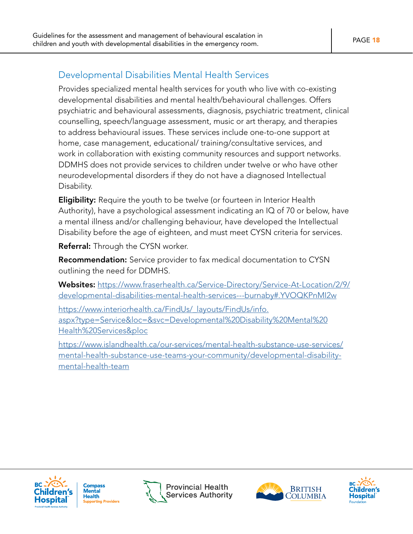### Developmental Disabilities Mental Health Services

Provides specialized mental health services for youth who live with co-existing developmental disabilities and mental health/behavioural challenges. Offers psychiatric and behavioural assessments, diagnosis, psychiatric treatment, clinical counselling, speech/language assessment, music or art therapy, and therapies to address behavioural issues. These services include one-to-one support at home, case management, educational/ training/consultative services, and work in collaboration with existing community resources and support networks. DDMHS does not provide services to children under twelve or who have other neurodevelopmental disorders if they do not have a diagnosed Intellectual Disability.

**Eligibility:** Require the youth to be twelve (or fourteen in Interior Health Authority), have a psychological assessment indicating an IQ of 70 or below, have a mental illness and/or challenging behaviour, have developed the Intellectual Disability before the age of eighteen, and must meet CYSN criteria for services.

Referral: Through the CYSN worker.

**Recommendation:** Service provider to fax medical documentation to CYSN outlining the need for DDMHS.

Websites: [https://www.fraserhealth.ca/Service-Directory/Service-At-Location/2/9/](https://www.fraserhealth.ca/Service-Directory/Service-At-Location/2/9/developmental-disabilities-mental-health-services---burnaby#.YVOQKPnMI2w) [developmental-disabilities-mental-health-services---burnaby#.YVOQKPnMI2w](https://www.fraserhealth.ca/Service-Directory/Service-At-Location/2/9/developmental-disabilities-mental-health-services---burnaby#.YVOQKPnMI2w)

[https://www.interiorhealth.ca/FindUs/\\_layouts/FindUs/info.](https://www.interiorhealth.ca/FindUs/_layouts/FindUs/info.aspx?type=Service&loc=&svc=Developmental%20Disability%20Mental%20Health%20Services&ploc) [aspx?type=Service&loc=&svc=Developmental%20Disability%20Mental%20](https://www.interiorhealth.ca/FindUs/_layouts/FindUs/info.aspx?type=Service&loc=&svc=Developmental%20Disability%20Mental%20Health%20Services&ploc) [Health%20Services&ploc](https://www.interiorhealth.ca/FindUs/_layouts/FindUs/info.aspx?type=Service&loc=&svc=Developmental%20Disability%20Mental%20Health%20Services&ploc)

[https://www.islandhealth.ca/our-services/mental-health-substance-use-services/](https://www.islandhealth.ca/our-services/mental-health-substance-use-services/mental-health-substance-use-teams-your-community/developmental-disability-mental-health-team) [mental-health-substance-use-teams-your-community/developmental-disability](https://www.islandhealth.ca/our-services/mental-health-substance-use-services/mental-health-substance-use-teams-your-community/developmental-disability-mental-health-team)[mental-health-team](https://www.islandhealth.ca/our-services/mental-health-substance-use-services/mental-health-substance-use-teams-your-community/developmental-disability-mental-health-team)



**Compass** Mental **Health** porting Providers





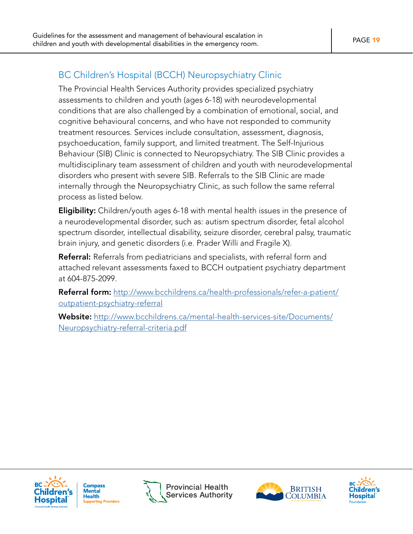## BC Children's Hospital (BCCH) Neuropsychiatry Clinic

The Provincial Health Services Authority provides specialized psychiatry assessments to children and youth (ages 6-18) with neurodevelopmental conditions that are also challenged by a combination of emotional, social, and cognitive behavioural concerns, and who have not responded to community treatment resources. Services include consultation, assessment, diagnosis, psychoeducation, family support, and limited treatment. The Self-Injurious Behaviour (SIB) Clinic is connected to Neuropsychiatry. The SIB Clinic provides a multidisciplinary team assessment of children and youth with neurodevelopmental disorders who present with severe SIB. Referrals to the SIB Clinic are made internally through the Neuropsychiatry Clinic, as such follow the same referral process as listed below.

**Eligibility:** Children/youth ages 6-18 with mental health issues in the presence of a neurodevelopmental disorder, such as: autism spectrum disorder, fetal alcohol spectrum disorder, intellectual disability, seizure disorder, cerebral palsy, traumatic brain injury, and genetic disorders (i.e. Prader Willi and Fragile X).

Referral: Referrals from pediatricians and specialists, with referral form and attached relevant assessments faxed to BCCH outpatient psychiatry department at 604-875-2099.

Referral form: [http://www.bcchildrens.ca/health-professionals/refer-a-patient/](http://www.bcchildrens.ca/health-professionals/refer-a-patient/outpatient-psychiatry-referral
) [outpatient-psychiatry-referral](http://www.bcchildrens.ca/health-professionals/refer-a-patient/outpatient-psychiatry-referral
)

Website: [http://www.bcchildrens.ca/mental-health-services-site/Documents/](http://www.bcchildrens.ca/mental-health-services-site/Documents/Neuropsychiatry-referral-criteria.pdf
) [Neuropsychiatry-referral-criteria.pdf](http://www.bcchildrens.ca/mental-health-services-site/Documents/Neuropsychiatry-referral-criteria.pdf
)



**Compass** Mental **Health** porting Providers





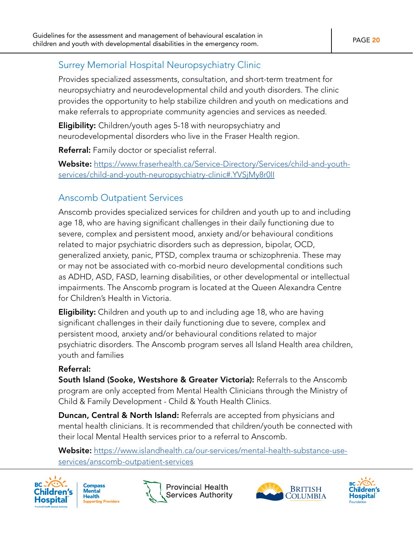### Surrey Memorial Hospital Neuropsychiatry Clinic

Provides specialized assessments, consultation, and short-term treatment for neuropsychiatry and neurodevelopmental child and youth disorders. The clinic provides the opportunity to help stabilize children and youth on medications and make referrals to appropriate community agencies and services as needed.

**Eligibility:** Children/youth ages 5-18 with neuropsychiatry and neurodevelopmental disorders who live in the Fraser Health region.

Referral: Family doctor or specialist referral.

Website: [https://www.fraserhealth.ca/Service-Directory/Services/child-and-youth](https://www.fraserhealth.ca/Service-Directory/Services/child-and-youth-services/child-and-youth-neuropsychiatry-clinic#.YVSjMy8r0lI
)[services/child-and-youth-neuropsychiatry-clinic#.YVSjMy8r0lI](https://www.fraserhealth.ca/Service-Directory/Services/child-and-youth-services/child-and-youth-neuropsychiatry-clinic#.YVSjMy8r0lI
)

## Anscomb Outpatient Services

Anscomb provides specialized services for children and youth up to and including age 18, who are having significant challenges in their daily functioning due to severe, complex and persistent mood, anxiety and/or behavioural conditions related to major psychiatric disorders such as depression, bipolar, OCD, generalized anxiety, panic, PTSD, complex trauma or schizophrenia. These may or may not be associated with co-morbid neuro developmental conditions such as ADHD, ASD, FASD, learning disabilities, or other developmental or intellectual impairments. The Anscomb program is located at the Queen Alexandra Centre for Children's Health in Victoria.

Eligibility: Children and youth up to and including age 18, who are having significant challenges in their daily functioning due to severe, complex and persistent mood, anxiety and/or behavioural conditions related to major psychiatric disorders. The Anscomb program serves all Island Health area children, youth and families

#### Referral:

South Island (Sooke, Westshore & Greater Victoria): Referrals to the Anscomb program are only accepted from Mental Health Clinicians through the Ministry of Child & Family Development - Child & Youth Health Clinics.

Duncan, Central & North Island: Referrals are accepted from physicians and mental health clinicians. It is recommended that children/youth be connected with their local Mental Health services prior to a referral to Anscomb.

Website: [https://www.islandhealth.ca/our-services/mental-health-substance-use](https://www.islandhealth.ca/our-services/mental-health-substance-use-services/anscomb-outpatient-services
)[services/anscomb-outpatient-services](https://www.islandhealth.ca/our-services/mental-health-substance-use-services/anscomb-outpatient-services
)









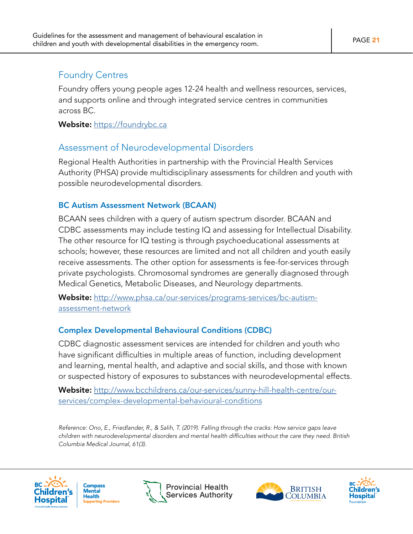### Foundry Centres

Foundry offers young people ages 12-24 health and wellness resources, services, and supports online and through integrated service centres in communities across BC.

Website: <https://foundrybc.ca>

### Assessment of Neurodevelopmental Disorders

Regional Health Authorities in partnership with the Provincial Health Services Authority (PHSA) provide multidisciplinary assessments for children and youth with possible neurodevelopmental disorders.

#### BC Autism Assessment Network (BCAAN)

BCAAN sees children with a query of autism spectrum disorder. BCAAN and CDBC assessments may include testing IQ and assessing for Intellectual Disability. The other resource for IQ testing is through psychoeducational assessments at schools; however, these resources are limited and not all children and youth easily receive assessments. The other option for assessments is fee-for-services through private psychologists. Chromosomal syndromes are generally diagnosed through Medical Genetics, Metabolic Diseases, and Neurology departments.

Website: [http://www.phsa.ca/our-services/programs-services/bc-autism](http://www.phsa.ca/our-services/programs-services/bc-autism-assessment-network)[assessment-network](http://www.phsa.ca/our-services/programs-services/bc-autism-assessment-network)

#### Complex Developmental Behavioural Conditions (CDBC)

CDBC diagnostic assessment services are intended for children and youth who have significant difficulties in multiple areas of function, including development and learning, mental health, and adaptive and social skills, and those with known or suspected history of exposures to substances with neurodevelopmental effects.

Website: [http://www.bcchildrens.ca/our-services/sunny-hill-health-centre/our](http://www.bcchildrens.ca/our-services/sunny-hill-health-centre/our-services/complex-developmental-behavioural-conditions)[services/complex-developmental-behavioural-conditions](http://www.bcchildrens.ca/our-services/sunny-hill-health-centre/our-services/complex-developmental-behavioural-conditions)

*Reference: Ono, E., Friedlander, R., & Salih, T. (2019). Falling through the cracks: How service gaps leave children with neurodevelopmental disorders and mental health difficulties without the care they need. British Columbia Medical Journal, 61(3).*









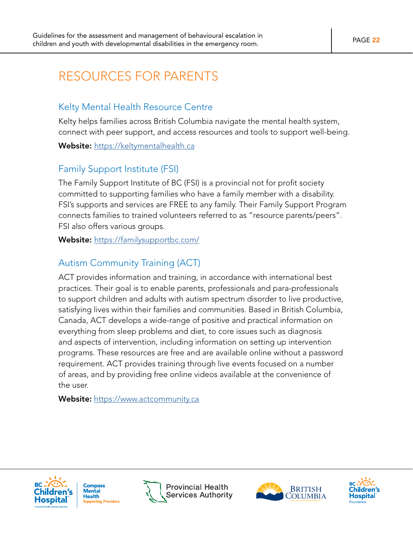## <span id="page-21-0"></span>RESOURCES FOR PARENTS

### Kelty Mental Health Resource Centre

Kelty helps families across British Columbia navigate the mental health system, connect with peer support, and access resources and tools to support well-being.

Website: <https://keltymentalhealth.ca>

### Family Support Institute (FSI)

The Family Support Institute of BC (FSI) is a provincial not for profit society committed to supporting families who have a family member with a disability. FSI's supports and services are FREE to any family. Their Family Support Program connects families to trained volunteers referred to as "resource parents/peers". FSI also offers various groups.

Website: <https://familysupportbc.com/>

## Autism Community Training (ACT)

ACT provides information and training, in accordance with international best practices. Their goal is to enable parents, professionals and para-professionals to support children and adults with autism spectrum disorder to live productive, satisfying lives within their families and communities. Based in British Columbia, Canada, ACT develops a wide-range of positive and practical information on everything from sleep problems and diet, to core issues such as diagnosis and aspects of intervention, including information on setting up intervention programs. These resources are free and are available online without a password requirement. ACT provides training through live events focused on a number of areas, and by providing free online videos available at the convenience of the user.

Website: <https://www.actcommunity.ca>







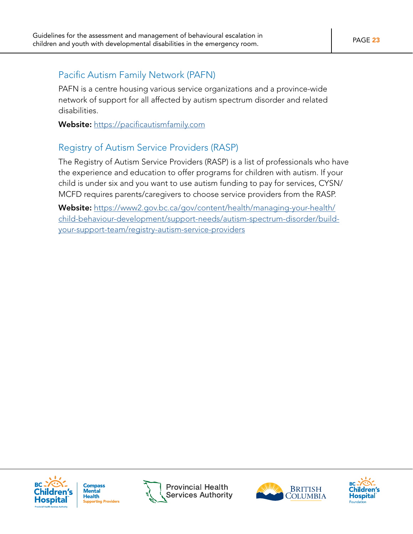### Pacific Autism Family Network (PAFN)

PAFN is a centre housing various service organizations and a province-wide network of support for all affected by autism spectrum disorder and related disabilities.

Website: <https://pacificautismfamily.com>

## Registry of Autism Service Providers (RASP)

The Registry of Autism Service Providers (RASP) is a list of professionals who have the experience and education to offer programs for children with autism. If your child is under six and you want to use autism funding to pay for services, CYSN/ MCFD requires parents/caregivers to choose service providers from the RASP.

Website: [https://www2.gov.bc.ca/gov/content/health/managing-your-health/](https://www2.gov.bc.ca/gov/content/health/managing-your-health/child-behaviour-development/support-needs/autism-spectrum-disorder/build-your-support-team/registry-autism-service-providers) [child-behaviour-development/support-needs/autism-spectrum-disorder/build](https://www2.gov.bc.ca/gov/content/health/managing-your-health/child-behaviour-development/support-needs/autism-spectrum-disorder/build-your-support-team/registry-autism-service-providers)[your-support-team/registry-autism-service-providers](https://www2.gov.bc.ca/gov/content/health/managing-your-health/child-behaviour-development/support-needs/autism-spectrum-disorder/build-your-support-team/registry-autism-service-providers)



**Compass** Mental **Health** - Loui and<br>Supporting Providers